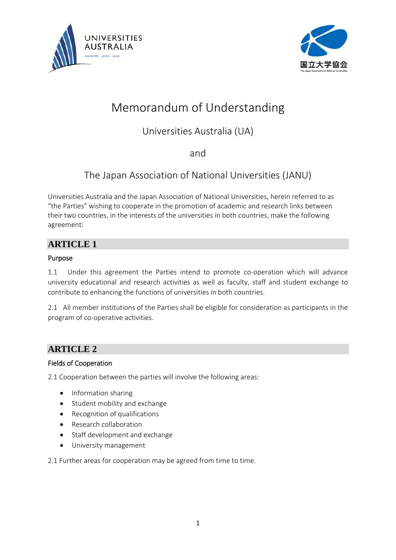



# Memorandum of Understanding

# Universities Australia (UA)

and

# The Japan Association of National Universities (JANU)

Universities Australia and the Japan Association of National Universities, herein referred to as "the Parties" wishing to cooperate in the promotion of academic and research links between their two countries, in the interests of the universities in both countries, make the following agreement:

## **ARTICLE 1**

## Purpose

1.1 Under this agreement the Parties intend to promote co-operation which will advance university educational and research activities as well as faculty, staff and student exchange to contribute to enhancing the functions of universities in both countries.

2.1 All member institutions of the Parties shall be eligible for consideration as participants in the program of co-operative activities.

## **ARTICLE 2**

## Fields of Cooperation

2.1 Cooperation between the parties will involve the following areas:

- Information sharing
- Student mobility and exchange
- Recognition of qualifications
- Research collaboration
- Staff development and exchange
- University management

2.1 Further areas for cooperation may be agreed from time to time.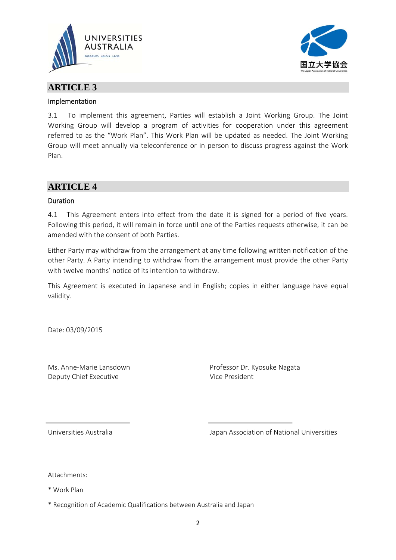



## **ARTICLE 3**

## Implementation

3.1 To implement this agreement, Parties will establish a Joint Working Group. The Joint Working Group will develop a program of activities for cooperation under this agreement referred to as the "Work Plan". This Work Plan will be updated as needed. The Joint Working Group will meet annually via teleconference or in person to discuss progress against the Work Plan.

## **ARTICLE 4**

## Duration

4.1 This Agreement enters into effect from the date it is signed for a period of five years. Following this period, it will remain in force until one of the Parties requests otherwise, it can be amended with the consent of both Parties.

Either Party may withdraw from the arrangement at any time following written notification of the other Party. A Party intending to withdraw from the arrangement must provide the other Party with twelve months' notice of its intention to withdraw.

This Agreement is executed in Japanese and in English; copies in either language have equal validity.

Date: 03/09/2015

Ms. Anne‐Marie Lansdown Deputy Chief Executive

Professor Dr. Kyosuke Nagata Vice President

Universities Australia

Japan Association of National Universities

Attachments:

\* Work Plan

\* Recognition of Academic Qualifications between Australia and Japan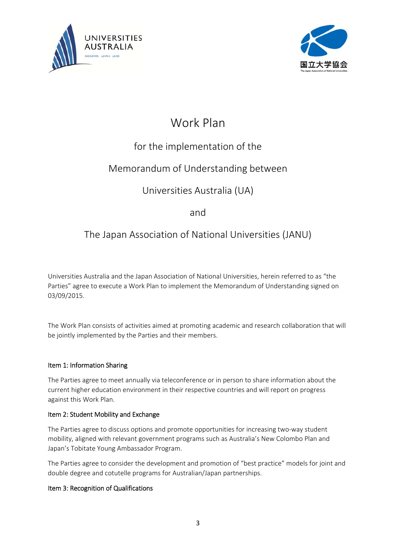



# Work Plan

# for the implementation of the

# Memorandum of Understanding between

# Universities Australia (UA)

## and

## The Japan Association of National Universities (JANU)

Universities Australia and the Japan Association of National Universities, herein referred to as "the Parties" agree to execute a Work Plan to implement the Memorandum of Understanding signed on 03/09/2015.

The Work Plan consists of activities aimed at promoting academic and research collaboration that will be jointly implemented by the Parties and their members.

## Item 1: Information Sharing

The Parties agree to meet annually via teleconference or in person to share information about the current higher education environment in their respective countries and will report on progress against this Work Plan.

## Item 2: Student Mobility and Exchange

The Parties agree to discuss options and promote opportunities for increasing two‐way student mobility, aligned with relevant government programs such as Australia's New Colombo Plan and Japan's Tobitate Young Ambassador Program.

The Parties agree to consider the development and promotion of "best practice" models for joint and double degree and cotutelle programs for Australian/Japan partnerships.

## Item 3: Recognition of Qualifications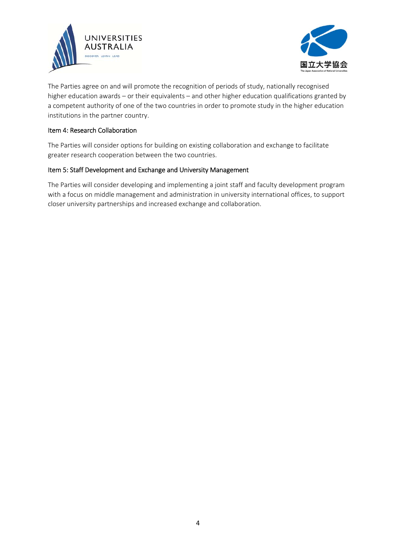



The Parties agree on and will promote the recognition of periods of study, nationally recognised higher education awards – or their equivalents – and other higher education qualifications granted by a competent authority of one of the two countries in order to promote study in the higher education institutions in the partner country.

### Item 4: Research Collaboration

The Parties will consider options for building on existing collaboration and exchange to facilitate greater research cooperation between the two countries.

### Item 5: Staff Development and Exchange and University Management

The Parties will consider developing and implementing a joint staff and faculty development program with a focus on middle management and administration in university international offices, to support closer university partnerships and increased exchange and collaboration.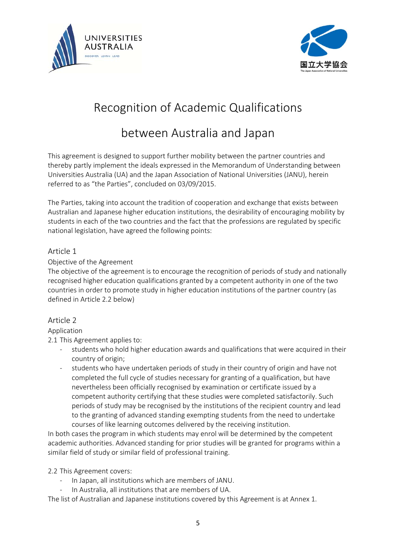



# Recognition of Academic Qualifications

# between Australia and Japan

This agreement is designed to support further mobility between the partner countries and thereby partly implement the ideals expressed in the Memorandum of Understanding between Universities Australia (UA) and the Japan Association of National Universities (JANU), herein referred to as "the Parties", concluded on 03/09/2015.

The Parties, taking into account the tradition of cooperation and exchange that exists between Australian and Japanese higher education institutions, the desirability of encouraging mobility by students in each of the two countries and the fact that the professions are regulated by specific national legislation, have agreed the following points:

## Article 1

## Objective of the Agreement

The objective of the agreement is to encourage the recognition of periods of study and nationally recognised higher education qualifications granted by a competent authority in one of the two countries in order to promote study in higher education institutions of the partner country (as defined in Article 2.2 below)

## Article 2

## Application

2.1 This Agreement applies to:

- ‐ students who hold higher education awards and qualifications that were acquired in their country of origin;
- students who have undertaken periods of study in their country of origin and have not completed the full cycle of studies necessary for granting of a qualification, but have nevertheless been officially recognised by examination or certificate issued by a competent authority certifying that these studies were completed satisfactorily. Such periods of study may be recognised by the institutions of the recipient country and lead to the granting of advanced standing exempting students from the need to undertake courses of like learning outcomes delivered by the receiving institution.

In both cases the program in which students may enrol will be determined by the competent academic authorities. Advanced standing for prior studies will be granted for programs within a similar field of study or similar field of professional training.

## 2.2 This Agreement covers:

- In Japan, all institutions which are members of JANU.
- ‐ In Australia, all institutions that are members of UA.

The list of Australian and Japanese institutions covered by this Agreement is at Annex 1.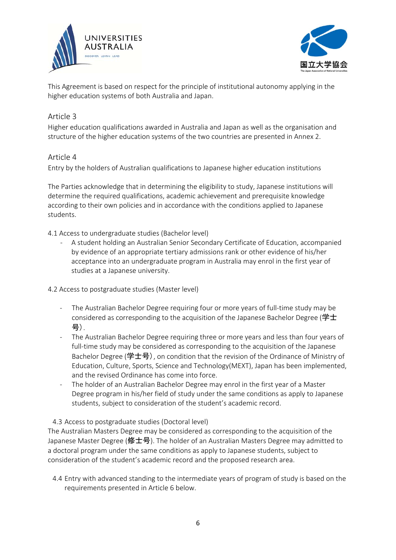



This Agreement is based on respect for the principle of institutional autonomy applying in the higher education systems of both Australia and Japan.

## Article 3

Higher education qualifications awarded in Australia and Japan as well as the organisation and structure of the higher education systems of the two countries are presented in Annex 2.

## Article 4

Entry by the holders of Australian qualifications to Japanese higher education institutions

The Parties acknowledge that in determining the eligibility to study, Japanese institutions will determine the required qualifications, academic achievement and prerequisite knowledge according to their own policies and in accordance with the conditions applied to Japanese students.

4.1 Access to undergraduate studies (Bachelor level)

‐ A student holding an Australian Senior Secondary Certificate of Education, accompanied by evidence of an appropriate tertiary admissions rank or other evidence of his/her acceptance into an undergraduate program in Australia may enrol in the first year of studies at a Japanese university.

4.2 Access to postgraduate studies (Master level)

- ‐ The Australian Bachelor Degree requiring four or more years of full‐time study may be considered as corresponding to the acquisition of the Japanese Bachelor Degree (学士 号).
- ‐ The Australian Bachelor Degree requiring three or more years and less than four years of full-time study may be considered as corresponding to the acquisition of the Japanese Bachelor Degree (学士号), on condition that the revision of the Ordinance of Ministry of Education, Culture, Sports, Science and Technology(MEXT), Japan has been implemented, and the revised Ordinance has come into force.
- The holder of an Australian Bachelor Degree may enrol in the first year of a Master Degree program in his/her field of study under the same conditions as apply to Japanese students, subject to consideration of the student's academic record.

4.3 Access to postgraduate studies (Doctoral level)

The Australian Masters Degree may be considered as corresponding to the acquisition of the Japanese Master Degree (修士号). The holder of an Australian Masters Degree may admitted to a doctoral program under the same conditions as apply to Japanese students, subject to consideration of the student's academic record and the proposed research area.

4.4 Entry with advanced standing to the intermediate years of program of study is based on the requirements presented in Article 6 below.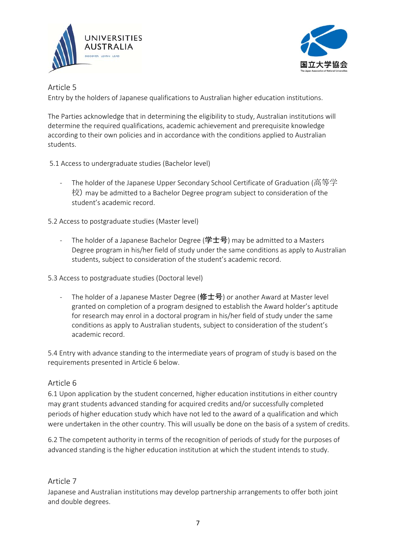



Article 5

Entry by the holders of Japanese qualifications to Australian higher education institutions.

The Parties acknowledge that in determining the eligibility to study, Australian institutions will determine the required qualifications, academic achievement and prerequisite knowledge according to their own policies and in accordance with the conditions applied to Australian students.

5.1 Access to undergraduate studies (Bachelor level)

The holder of the Japanese Upper Secondary School Certificate of Graduation (高等学 校) may be admitted to a Bachelor Degree program subject to consideration of the student's academic record.

5.2 Access to postgraduate studies (Master level)

The holder of a Japanese Bachelor Degree (学士号) may be admitted to a Masters Degree program in his/her field of study under the same conditions as apply to Australian students, subject to consideration of the student's academic record.

5.3 Access to postgraduate studies (Doctoral level)

The holder of a Japanese Master Degree (修士号) or another Award at Master level granted on completion of a program designed to establish the Award holder's aptitude for research may enrol in a doctoral program in his/her field of study under the same conditions as apply to Australian students, subject to consideration of the student's academic record.

5.4 Entry with advance standing to the intermediate years of program of study is based on the requirements presented in Article 6 below.

## Article 6

6.1 Upon application by the student concerned, higher education institutions in either country may grant students advanced standing for acquired credits and/or successfully completed periods of higher education study which have not led to the award of a qualification and which were undertaken in the other country. This will usually be done on the basis of a system of credits.

6.2 The competent authority in terms of the recognition of periods of study for the purposes of advanced standing is the higher education institution at which the student intends to study.

## Article 7

Japanese and Australian institutions may develop partnership arrangements to offer both joint and double degrees.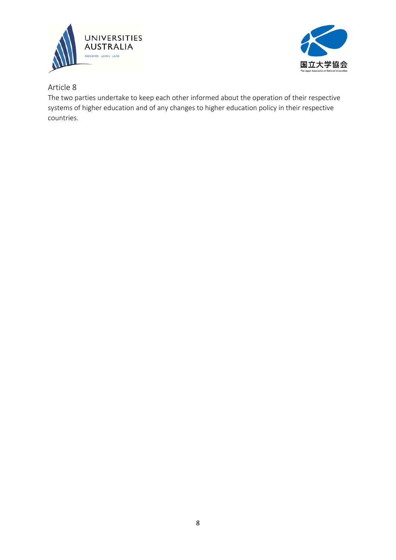



Article 8

The two parties undertake to keep each other informed about the operation of their respective systems of higher education and of any changes to higher education policy in their respective countries.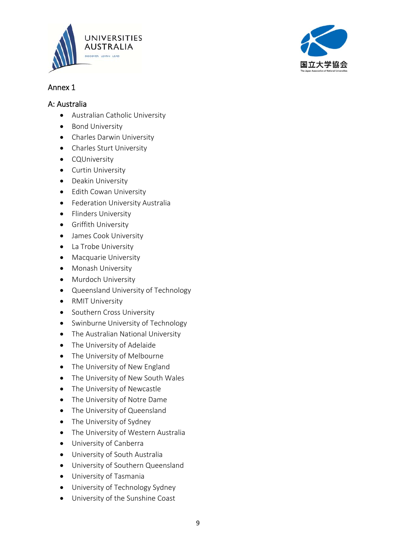



## A: Australia

- Australian Catholic University
- Bond University
- Charles Darwin University
- Charles Sturt University
- **•** CQUniversity
- Curtin University
- Deakin University
- Edith Cowan University
- **•** Federation University Australia
- Flinders University
- **•** Griffith University
- James Cook University
- La Trobe University
- **•** Macquarie University
- Monash University
- Murdoch University
- Queensland University of Technology
- RMIT University
- Southern Cross University
- Swinburne University of Technology
- The Australian National University
- The University of Adelaide
- The University of Melbourne
- The University of New England
- The University of New South Wales
- The University of Newcastle
- The University of Notre Dame
- The University of Queensland
- The University of Sydney
- The University of Western Australia
- University of Canberra
- University of South Australia
- University of Southern Queensland
- University of Tasmania
- University of Technology Sydney
- University of the Sunshine Coast

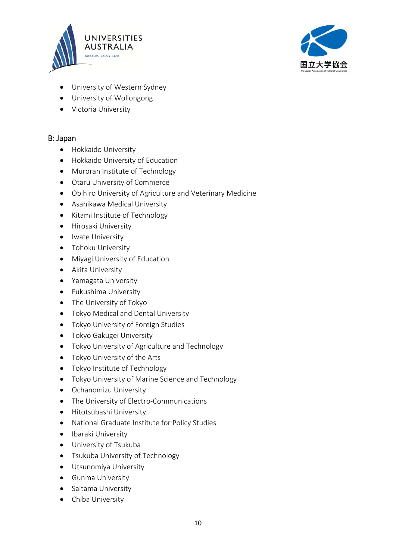



- University of Western Sydney
- University of Wollongong
- Victoria University

## B: Japan

- **•** Hokkaido University
- Hokkaido University of Education
- Muroran Institute of Technology
- Otaru University of Commerce
- Obihiro University of Agriculture and Veterinary Medicine
- Asahikawa Medical University
- Kitami Institute of Technology
- **•** Hirosaki University
- Iwate University
- Tohoku University
- Miyagi University of Education
- Akita University
- Yamagata University
- **•** Fukushima University
- The University of Tokyo
- Tokyo Medical and Dental University
- Tokyo University of Foreign Studies
- **•** Tokyo Gakugei University
- Tokyo University of Agriculture and Technology
- Tokyo University of the Arts
- Tokyo Institute of Technology
- Tokyo University of Marine Science and Technology
- **•** Ochanomizu University
- The University of Electro-Communications
- **•** Hitotsubashi University
- National Graduate Institute for Policy Studies
- Ibaraki University
- University of Tsukuba
- Tsukuba University of Technology
- Utsunomiya University
- **•** Gunma University
- Saitama University
- **•** Chiba University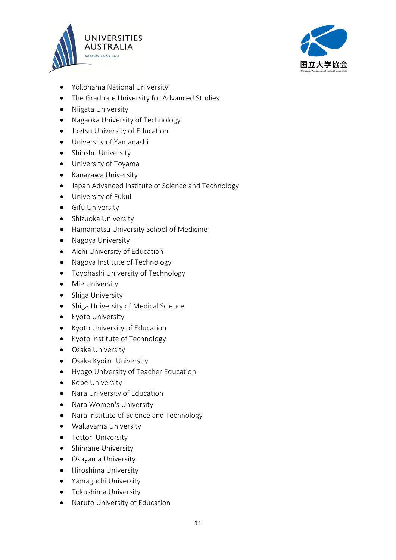



- Yokohama National University
- The Graduate University for Advanced Studies
- Niigata University
- Nagaoka University of Technology
- Joetsu University of Education
- University of Yamanashi
- Shinshu University
- University of Toyama
- Kanazawa University
- Japan Advanced Institute of Science and Technology
- University of Fukui
- **•** Gifu University
- Shizuoka University
- Hamamatsu University School of Medicine
- Nagoya University
- Aichi University of Education
- Nagoya Institute of Technology
- Toyohashi University of Technology
- Mie University
- Shiga University
- Shiga University of Medical Science
- Kyoto University
- Kyoto University of Education
- Kyoto Institute of Technology
- **•** Osaka University
- Osaka Kyoiku University
- Hyogo University of Teacher Education
- Kobe University
- Nara University of Education
- Nara Women's University
- Nara Institute of Science and Technology
- Wakayama University
- **•** Tottori University
- Shimane University
- Okayama University
- **•** Hiroshima University
- Yamaguchi University
- **•** Tokushima University
- Naruto University of Education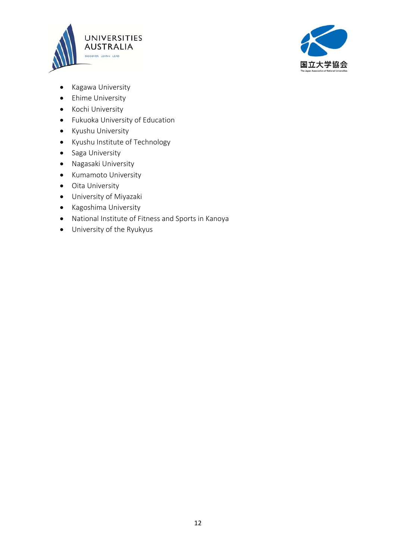



- Kagawa University
- Ehime University
- Kochi University
- Fukuoka University of Education
- Kyushu University
- Kyushu Institute of Technology
- Saga University
- Nagasaki University
- Kumamoto University
- Oita University
- University of Miyazaki
- Kagoshima University
- National Institute of Fitness and Sports in Kanoya
- University of the Ryukyus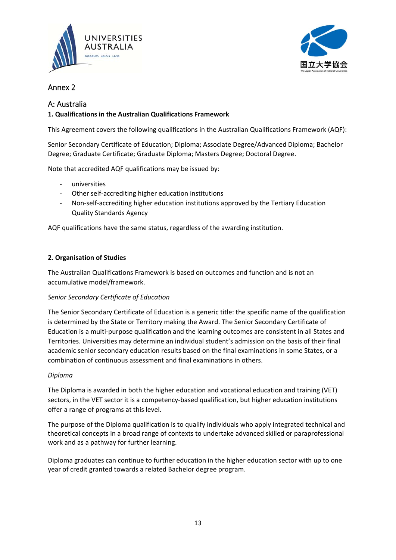



## Annex 2

## A: Australia

## **1. Qualifications in the Australian Qualifications Framework**

This Agreement covers the following qualifications in the Australian Qualifications Framework (AQF):

Senior Secondary Certificate of Education; Diploma; Associate Degree/Advanced Diploma; Bachelor Degree; Graduate Certificate; Graduate Diploma; Masters Degree; Doctoral Degree.

Note that accredited AQF qualifications may be issued by:

- ‐ universities
- Other self-accrediting higher education institutions
- ‐ Non‐self‐accrediting higher education institutions approved by the Tertiary Education Quality Standards Agency

AQF qualifications have the same status, regardless of the awarding institution.

## **2. Organisation of Studies**

The Australian Qualifications Framework is based on outcomes and function and is not an accumulative model/framework.

## *Senior Secondary Certificate of Education*

The Senior Secondary Certificate of Education is a generic title: the specific name of the qualification is determined by the State or Territory making the Award. The Senior Secondary Certificate of Education is a multi‐purpose qualification and the learning outcomes are consistent in all States and Territories. Universities may determine an individual student's admission on the basis of their final academic senior secondary education results based on the final examinations in some States, or a combination of continuous assessment and final examinations in others.

## *Diploma*

The Diploma is awarded in both the higher education and vocational education and training (VET) sectors, in the VET sector it is a competency-based qualification, but higher education institutions offer a range of programs at this level.

The purpose of the Diploma qualification is to qualify individuals who apply integrated technical and theoretical concepts in a broad range of contexts to undertake advanced skilled or paraprofessional work and as a pathway for further learning.

Diploma graduates can continue to further education in the higher education sector with up to one year of credit granted towards a related Bachelor degree program.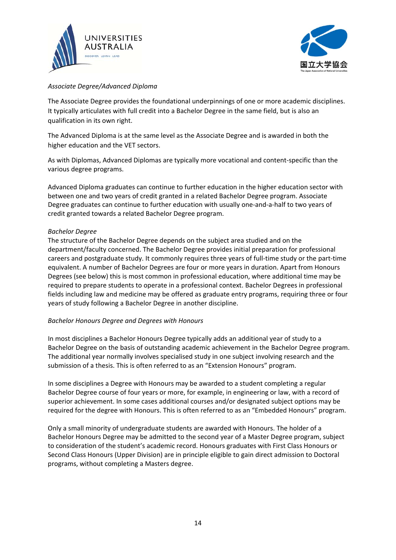



## *Associate Degree/Advanced Diploma*

The Associate Degree provides the foundational underpinnings of one or more academic disciplines. It typically articulates with full credit into a Bachelor Degree in the same field, but is also an qualification in its own right.

The Advanced Diploma is at the same level as the Associate Degree and is awarded in both the higher education and the VET sectors.

As with Diplomas, Advanced Diplomas are typically more vocational and content‐specific than the various degree programs.

Advanced Diploma graduates can continue to further education in the higher education sector with between one and two years of credit granted in a related Bachelor Degree program. Associate Degree graduates can continue to further education with usually one-and-a-half to two years of credit granted towards a related Bachelor Degree program.

#### *Bachelor Degree*

The structure of the Bachelor Degree depends on the subject area studied and on the department/faculty concerned. The Bachelor Degree provides initial preparation for professional careers and postgraduate study. It commonly requires three years of full‐time study or the part‐time equivalent. A number of Bachelor Degrees are four or more years in duration. Apart from Honours Degrees (see below) this is most common in professional education, where additional time may be required to prepare students to operate in a professional context. Bachelor Degrees in professional fields including law and medicine may be offered as graduate entry programs, requiring three or four years of study following a Bachelor Degree in another discipline.

#### *Bachelor Honours Degree and Degrees with Honours*

In most disciplines a Bachelor Honours Degree typically adds an additional year of study to a Bachelor Degree on the basis of outstanding academic achievement in the Bachelor Degree program. The additional year normally involves specialised study in one subject involving research and the submission of a thesis. This is often referred to as an "Extension Honours" program.

In some disciplines a Degree with Honours may be awarded to a student completing a regular Bachelor Degree course of four years or more, for example, in engineering or law, with a record of superior achievement. In some cases additional courses and/or designated subject options may be required for the degree with Honours. This is often referred to as an "Embedded Honours" program.

Only a small minority of undergraduate students are awarded with Honours. The holder of a Bachelor Honours Degree may be admitted to the second year of a Master Degree program, subject to consideration of the student's academic record. Honours graduates with First Class Honours or Second Class Honours (Upper Division) are in principle eligible to gain direct admission to Doctoral programs, without completing a Masters degree.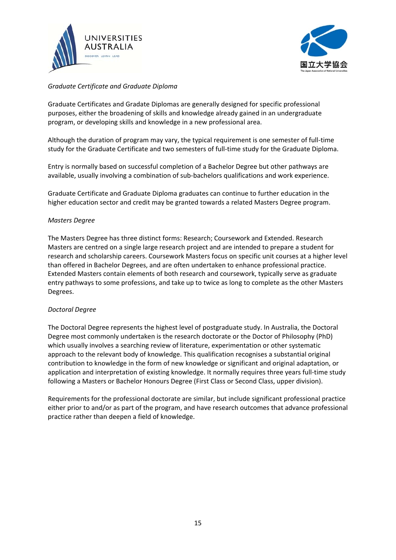



## *Graduate Certificate and Graduate Diploma*

Graduate Certificates and Gradate Diplomas are generally designed for specific professional purposes, either the broadening of skills and knowledge already gained in an undergraduate program, or developing skills and knowledge in a new professional area.

Although the duration of program may vary, the typical requirement is one semester of full‐time study for the Graduate Certificate and two semesters of full-time study for the Graduate Diploma.

Entry is normally based on successful completion of a Bachelor Degree but other pathways are available, usually involving a combination of sub‐bachelors qualifications and work experience.

Graduate Certificate and Graduate Diploma graduates can continue to further education in the higher education sector and credit may be granted towards a related Masters Degree program.

#### *Masters Degree*

The Masters Degree has three distinct forms: Research; Coursework and Extended. Research Masters are centred on a single large research project and are intended to prepare a student for research and scholarship careers. Coursework Masters focus on specific unit courses at a higher level than offered in Bachelor Degrees, and are often undertaken to enhance professional practice. Extended Masters contain elements of both research and coursework, typically serve as graduate entry pathways to some professions, and take up to twice as long to complete as the other Masters Degrees.

#### *Doctoral Degree*

The Doctoral Degree represents the highest level of postgraduate study. In Australia, the Doctoral Degree most commonly undertaken is the research doctorate or the Doctor of Philosophy (PhD) which usually involves a searching review of literature, experimentation or other systematic approach to the relevant body of knowledge. This qualification recognises a substantial original contribution to knowledge in the form of new knowledge or significant and original adaptation, or application and interpretation of existing knowledge. It normally requires three years full-time study following a Masters or Bachelor Honours Degree (First Class or Second Class, upper division).

Requirements for the professional doctorate are similar, but include significant professional practice either prior to and/or as part of the program, and have research outcomes that advance professional practice rather than deepen a field of knowledge.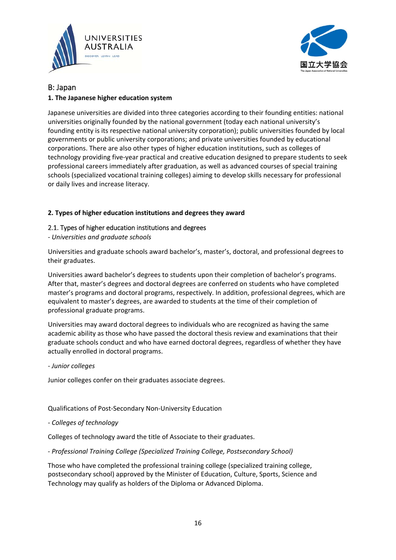



## B: Japan

## **1. The Japanese higher education system**

Japanese universities are divided into three categories according to their founding entities: national universities originally founded by the national government (today each national university's founding entity is its respective national university corporation); public universities founded by local governments or public university corporations; and private universities founded by educational corporations. There are also other types of higher education institutions, such as colleges of technology providing five‐year practical and creative education designed to prepare students to seek professional careers immediately after graduation, as well as advanced courses of special training schools (specialized vocational training colleges) aiming to develop skills necessary for professional or daily lives and increase literacy.

## **2. Types of higher education institutions and degrees they award**

## 2.1. Types of higher education institutions and degrees

*‐ Universities and graduate schools*

Universities and graduate schools award bachelor's, master's, doctoral, and professional degrees to their graduates.

Universities award bachelor's degrees to students upon their completion of bachelor's programs. After that, master's degrees and doctoral degrees are conferred on students who have completed master's programs and doctoral programs, respectively. In addition, professional degrees, which are equivalent to master's degrees, are awarded to students at the time of their completion of professional graduate programs.

Universities may award doctoral degrees to individuals who are recognized as having the same academic ability as those who have passed the doctoral thesis review and examinations that their graduate schools conduct and who have earned doctoral degrees, regardless of whether they have actually enrolled in doctoral programs.

## *‐ Junior colleges*

Junior colleges confer on their graduates associate degrees.

Qualifications of Post‐Secondary Non‐University Education

*‐ Colleges of technology*

Colleges of technology award the title of Associate to their graduates.

*‐ Professional Training College (Specialized Training College, Postsecondary School)*

Those who have completed the professional training college (specialized training college, postsecondary school) approved by the Minister of Education, Culture, Sports, Science and Technology may qualify as holders of the Diploma or Advanced Diploma.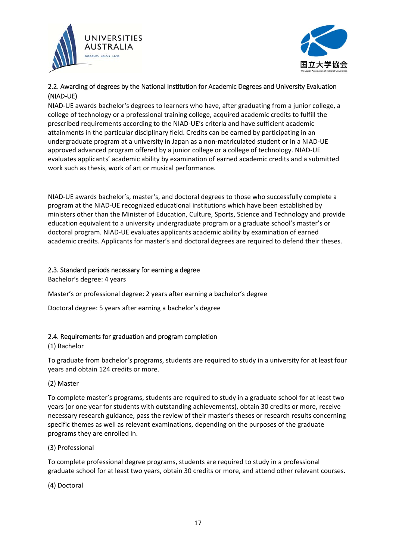



## 2.2. Awarding of degrees by the National Institution for Academic Degrees and University Evaluation (NIAD‐UE)

NIAD‐UE awards bachelor's degrees to learners who have, after graduating from a junior college, a college of technology or a professional training college, acquired academic credits to fulfill the prescribed requirements according to the NIAD‐UE's criteria and have sufficient academic attainments in the particular disciplinary field. Credits can be earned by participating in an undergraduate program at a university in Japan as a non‐matriculated student or in a NIAD‐UE approved advanced program offered by a junior college or a college of technology. NIAD‐UE evaluates applicants' academic ability by examination of earned academic credits and a submitted work such as thesis, work of art or musical performance.

NIAD‐UE awards bachelor's, master's, and doctoral degrees to those who successfully complete a program at the NIAD‐UE recognized educational institutions which have been established by ministers other than the Minister of Education, Culture, Sports, Science and Technology and provide education equivalent to a university undergraduate program or a graduate school's master's or doctoral program. NIAD‐UE evaluates applicants academic ability by examination of earned academic credits. Applicants for master's and doctoral degrees are required to defend their theses.

## 2.3. Standard periods necessary for earning a degree

Bachelor's degree: 4 years

Master's or professional degree: 2 years after earning a bachelor's degree

Doctoral degree: 5 years after earning a bachelor's degree

## 2.4. Requirements for graduation and program completion

#### (1) Bachelor

To graduate from bachelor's programs, students are required to study in a university for at least four years and obtain 124 credits or more.

## (2) Master

To complete master's programs, students are required to study in a graduate school for at least two years (or one year for students with outstanding achievements), obtain 30 credits or more, receive necessary research guidance, pass the review of their master's theses or research results concerning specific themes as well as relevant examinations, depending on the purposes of the graduate programs they are enrolled in.

## (3) Professional

To complete professional degree programs, students are required to study in a professional graduate school for at least two years, obtain 30 credits or more, and attend other relevant courses.

(4) Doctoral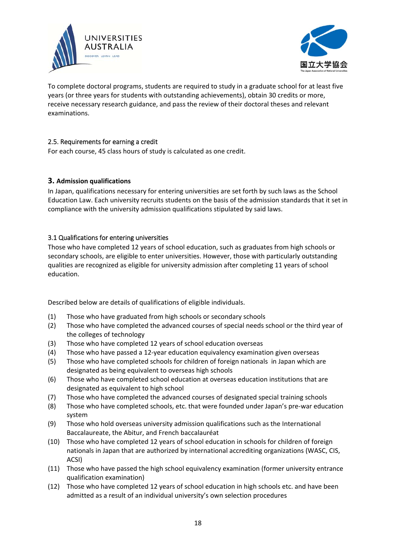



To complete doctoral programs, students are required to study in a graduate school for at least five years (or three years for students with outstanding achievements), obtain 30 credits or more, receive necessary research guidance, and pass the review of their doctoral theses and relevant examinations.

## 2.5. Requirements for earning a credit

For each course, 45 class hours of study is calculated as one credit.

## **3. Admission qualifications**

In Japan, qualifications necessary for entering universities are set forth by such laws as the School Education Law. Each university recruits students on the basis of the admission standards that it set in compliance with the university admission qualifications stipulated by said laws.

## 3.1 Qualifications for entering universities

Those who have completed 12 years of school education, such as graduates from high schools or secondary schools, are eligible to enter universities. However, those with particularly outstanding qualities are recognized as eligible for university admission after completing 11 years of school education.

Described below are details of qualifications of eligible individuals.

- (1) Those who have graduated from high schools or secondary schools
- (2) Those who have completed the advanced courses of special needs school or the third year of the colleges of technology
- (3) Those who have completed 12 years of school education overseas
- (4) Those who have passed a 12‐year education equivalency examination given overseas
- (5) Those who have completed schools for children of foreign nationals in Japan which are designated as being equivalent to overseas high schools
- (6) Those who have completed school education at overseas education institutions that are designated as equivalent to high school
- (7) Those who have completed the advanced courses of designated special training schools
- (8) Those who have completed schools, etc. that were founded under Japan's pre‐war education system
- (9) Those who hold overseas university admission qualifications such as the International Baccalaureate, the Abitur, and French baccalauréat
- (10) Those who have completed 12 years of school education in schools for children of foreign nationals in Japan that are authorized by international accrediting organizations (WASC, CIS, ACSI)
- (11) Those who have passed the high school equivalency examination (former university entrance qualification examination)
- (12) Those who have completed 12 years of school education in high schools etc. and have been admitted as a result of an individual university's own selection procedures